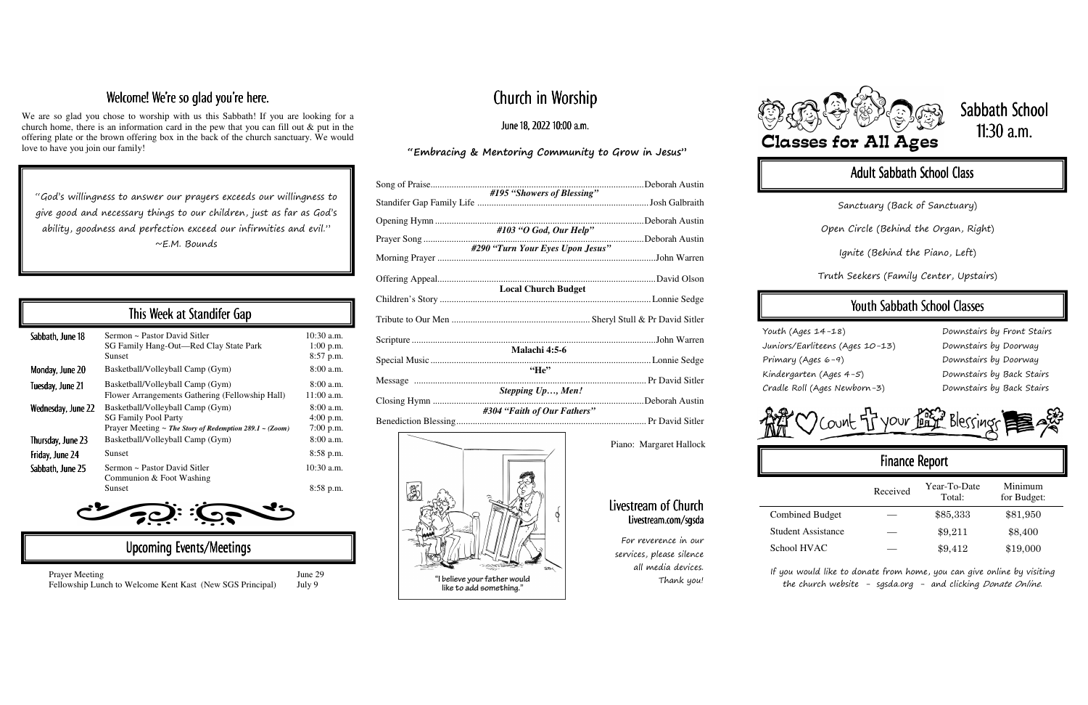# Church in Worship

#### June 18, 2022 10:00 a.m.

#### "Embracing & Mentoring Community to Grow in Jesus"

| #195 "Showers of Blessing"          |  |
|-------------------------------------|--|
| #103 "O God, Our Help"              |  |
|                                     |  |
| #290 "Turn Your Eyes Upon Jesus"    |  |
|                                     |  |
| <b>Local Church Budget</b>          |  |
|                                     |  |
|                                     |  |
| Malachi 4:5-6<br>$He$ <sup>22</sup> |  |
|                                     |  |
| Stepping Up, Men!                   |  |
| #304 "Faith of Our Fathers"         |  |

 $\mathbb{R}$ 

"I believe your father would like to add something."

#### Welcome! We're so glad you're here.

We are so glad you chose to worship with us this Sabbath! If you are looking for a church home, there is an information card in the pew that you can fill out & put in the offering plate or the brown offering box in the back of the church sanctuary. We would love to have you join our family!

#### Livestream of Church Livestream.com/sgsda Livestream.com/sgsda

"God's willingness to answer our prayers exceeds our willingness to give good and necessary things to our children, just as far as God's ability, goodness and perfection exceed our infirmities and evil." ~E.M. Bounds

> If you would like to donate from home, you can give online by visiting the church website - sgsda.org - and clicking Donate Online.

# Sabbath School 11:30 a.m.

## Adult Sabbath School Class

|                           | Received | Year-To-Date<br>Total: | Minimum<br>for Budget: |
|---------------------------|----------|------------------------|------------------------|
| <b>Combined Budget</b>    |          | \$85,333               | \$81,950               |
| <b>Student Assistance</b> |          | \$9,211                | \$8,400                |
| School HVAC               |          | \$9,412                | \$19,000               |

| This Week at Standifer Gap |                                                                                                                                      |                                           |  |  |
|----------------------------|--------------------------------------------------------------------------------------------------------------------------------------|-------------------------------------------|--|--|
| Sabbath, June 18           | Sermon ~ Pastor David Sitler<br>SG Family Hang-Out—Red Clay State Park<br><b>Sunset</b>                                              | $10:30$ a.m.<br>$1:00$ p.m.<br>8:57 p.m.  |  |  |
| Monday, June 20            | Basketball/Volleyball Camp (Gym)                                                                                                     | $8:00$ a.m.                               |  |  |
| Tuesday, June 21           | Basketball/Volleyball Camp (Gym)<br>Flower Arrangements Gathering (Fellowship Hall)                                                  | $8:00$ a.m.<br>$11:00$ a.m.               |  |  |
| Wednesday, June 22         | Basketball/Volleyball Camp (Gym)<br><b>SG Family Pool Party</b><br>Prayer Meeting $\sim$ The Story of Redemption 289.1 $\sim$ (Zoom) | $8:00$ a.m.<br>$4:00$ p.m.<br>$7:00$ p.m. |  |  |
| Thursday, June 23          | Basketball/Volleyball Camp (Gym)                                                                                                     | $8:00$ a.m.                               |  |  |
| Friday, June 24            | <b>Sunset</b>                                                                                                                        | $8:58$ p.m.                               |  |  |
| Sabbath, June 25           | Sermon ~ Pastor David Sitler<br>Communion & Foot Washing                                                                             | $10:30$ a.m.                              |  |  |
|                            | <b>Sunset</b>                                                                                                                        | 8:58 p.m.                                 |  |  |

10:30 **a.**m.o a.m.o a.m.o a.m.o a.m.o a.m.o a.m.o a.m.o a.m.o a.m.o a.m.o a.m.o a.m.o a.m.o a.m.o a.m.o a.m.o a.m.o

Upcoming Events/Meetings

Prayer Meeting June 29 Fellowship Lunch to Welcome Kent Kast (New SGS Principal) July 9

Youth (Ages 14-18) Juniors/Earliteens (Ages 10-13) Primary (Ages 6-9) Kindergarten (Ages 4-5) Cradle Roll (Ages Newborn-3)

Downstairs by Front Stairs Downstairs by Doorway Downstairs by Doorway Downstairs by Back Stairs Downstairs by Back Stairs

And CO Count Tryour Facts Blessings

## Finance Report

Sanctuary (Back of Sanctuary)

Open Circle (Behind the Organ, Right)

Ignite (Behind the Piano, Left)

Truth Seekers (Family Center, Upstairs)

## Youth Sabbath School Classes

Piano: Margaret Hallock

For reverence in our services, please silence all media devices. Thank you!